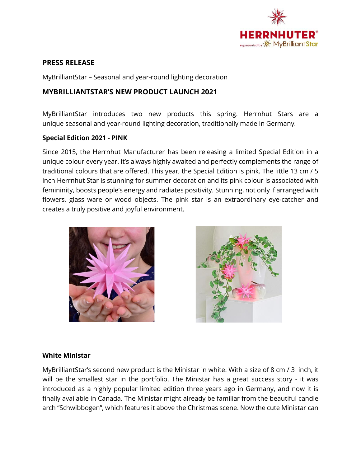

## **PRESS RELEASE**

MyBrilliantStar – Seasonal and year-round lighting decoration

## **MYBRILLIANTSTAR'S NEW PRODUCT LAUNCH 2021**

MyBrilliantStar introduces two new products this spring. Herrnhut Stars are a unique seasonal and year-round lighting decoration, traditionally made in Germany.

## **Special Edition 2021 - PINK**

Since 2015, the Herrnhut Manufacturer has been releasing a limited Special Edition in a unique colour every year. It's always highly awaited and perfectly complements the range of traditional colours that are offered. This year, the Special Edition is pink. The little 13 cm / 5 inch Herrnhut Star is stunning for summer decoration and its pink colour is associated with femininity, boosts people's energy and radiates positivity. Stunning, not only if arranged with flowers, glass ware or wood objects. The pink star is an extraordinary eye-catcher and creates a truly positive and joyful environment.





## **White Ministar**

MyBrilliantStar's second new product is the Ministar in white. With a size of 8 cm / 3 inch, it will be the smallest star in the portfolio. The Ministar has a great success story - it was introduced as a highly popular limited edition three years ago in Germany, and now it is finally available in Canada. The Ministar might already be familiar from the beautiful candle arch "Schwibbogen", which features it above the Christmas scene. Now the cute Ministar can